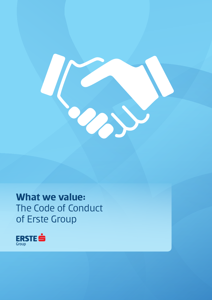

### **What we value:**  The Code of Conduct of Erste Group

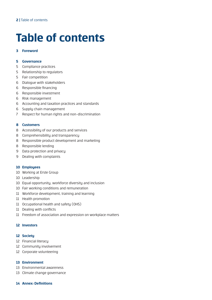# **Table of contents**

#### **Foreword**

#### **Governance**

- Compliance practices
- Relationship to regulators
- Fair competition
- Dialogue with stakeholders
- Responsible financing
- Responsible investment
- Risk management
- Accounting and taxation practices and standards
- Supply chain management
- Respect for human rights and non-discrimination

#### **Customers**

- Accessibility of our products and services
- 8 Comprehensibility and transparency
- Responsible product development and marketing
- Responsible lending
- 9 Data protection and privacy
- Dealing with complaints

#### **Employees**

- Working at Erste Group
- Leadership
- Equal opportunity, workforce diversity and inclusion
- Fair working conditions and remuneration
- Workforce development, training and learning
- Health promotion
- Occupational health and safety (OHS)
- 11 Dealing with conflicts
- Freedom of association and expression on workplace matters

#### **Investors**

#### **Society**

- Financial literacy
- Community involvement
- Corporate volunteering

#### **Environment**

- Environmental awareness
- Climate change governance
- **Annex: Definitions**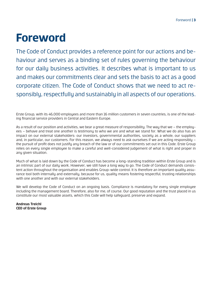## **Foreword**

The Code of Conduct provides a reference point for our actions and behaviour and serves as a binding set of rules governing the behaviour for our daily business activities. It describes what is important to us and makes our commitments clear and sets the basis to act as a good corporate citizen. The Code of Conduct shows that we need to act responsibly, respectfully and sustainably in all aspects of our operations.

Erste Group, with its 46,000 employees and more than 16 million customers in seven countries, is one of the leading financial service providers in Central and Eastern Europe.

As a result of our position and activities, we bear a great measure of responsibility. The way that we – the employees – behave and treat one another is testimony to who we are and what we stand for. What we do also has an impact on our external stakeholders: our investors, governmental authorities, society as a whole, our suppliers and, in particular, our customers. For this reason, we always need to ask ourselves if we are acting responsibly – the pursuit of profit does not justify any breach of the law or of our commitments set out in this Code. Erste Group relies on every single employee to make a careful and well-considered judgement of what is right and proper in any given situation.

Much of what is laid down by the Code of Conduct has become a long-standing tradition within Erste Group and is an intrinsic part of our daily work. However, we still have a long way to go. The Code of Conduct demands consistent action throughout the organisation and enables Group-wide control. It is therefore an important quality assurance tool both internally and externally, because for us, quality means fostering respectful, trusting relationships with one another and with our external stakeholders.

We will develop the Code of Conduct on an ongoing basis. Compliance is mandatory for every single employee including the management board. Therefore, also for me, of course. Our good reputation and the trust placed in us constitute our most valuable assets, which this Code will help safeguard, preserve and expand.

**Andreas Treichl CEO of Erste Group**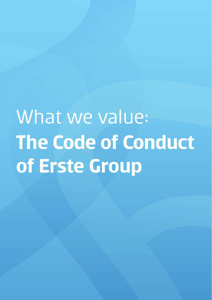# What we value: **The Code of Conduct of Erste Group**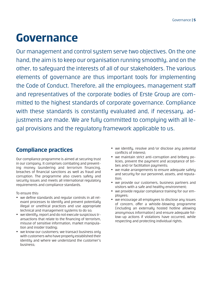### **Governance**

Our management and control system serve two objectives. On the one hand, the aim is to keep our organisation running smoothly, and on the other, to safeguard the interests of all of our stakeholders. The various elements of governance are thus important tools for implementing the Code of Conduct. Therefore, all the employees, management staff and representatives of the corporate bodies of Erste Group are committed to the highest standards of corporate governance. Compliance with these standards is constantly evaluated and, if necessary, adjustments are made. We are fully committed to complying with all legal provisions and the regulatory framework applicable to us.

### **Compliance practices**

Our compliance programme is aimed at securing trust in our company. It comprises combating and preventing moneu laundering and terrorism financing, breaches of financial sanctions as well as fraud and corruption. The programme also covers safety and security issues and meets all international regulatory requirements and compliance standards.

- we define standards and regular controls in all relevant processes to identify and prevent potentially illegal or unethical practices and use appropriate technical and management sustems to do so;
- we identify, report and do not execute suspicious transactions that relate to the financing of terrorism, misuse of sensitive information, market manipulation and insider trading;
- we know our customers; we transact business only with customers who have properly established their identity and where we understand the customer's business;
- we identifu, resolve and/or disclose any potential conflicts of interest;
- we maintain strict anti-corruption and bribery policies, prevent the payment and acceptance of bribes and/or facilitation payments;
- we make arrangements to ensure adequate safetu and security for our personnel, assets, and reputation;
- we provide our customers, business partners and visitors with a safe and healthy environment;
- we provide regular compliance training for our emplouees;
- we encourage all employees to disclose any issues of concern, offer a whistle-blowing programme (including an externally hosted hotline allowing anonymous information) and ensure adequate follow-up actions if violations have occurred, while respecting and protecting individual rights.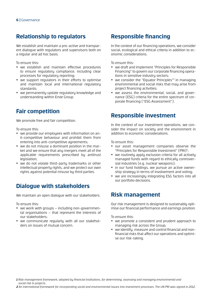#### **Relationship to regulators**

We establish and maintain a pro-active and transparent dialogue with regulators and supervisors both on a regular and ad hoc basis.

To ensure this:

- we establish and maintain effective procedures to ensure regulatory compliance, including clear processes for regulatory reporting;
- we support regulators in their efforts to optimise and maintain local and international regulatory standards;
- we permanently update regulatory knowledge and understanding within Erste Group.

#### **Fair competition**

We promote free and fair competition.

To ensure this:

- we provide our employees with information on anti-competitive behaviour and prohibit them from entering into anti-competitive agreements;
- we do not misuse a dominant position in the market and we ensure that any mergers meet all of the applicable requirements prescribed by antitrust legislation;
- we do not violate third-partu trademarks or other intellectual property rights, and we protect our own rights against potential misuse by third parties.

#### **Dialogue with stakeholders**

We maintain an open dialogue with our stakeholders.

To ensure this:

- we work with groups including non-governmental organisations – that represent the interests of our stakeholders;
- we communicate regularly with all our stakeholders on issues of mutual concern.

### **Responsible financing**

In the context of our financing operations, we consider social, ecological and ethical criteria in addition to economic considerations.

To ensure this:

- we draft and implement "Principles for Responsible Financing" to govern our corporate financing operations in sensitive industry sectors;
- $\bullet$  we consider the "Equator Principles"<sup>1</sup> in managing environmental and social risks that may arise from project financing activities;
- we assess the environmental, social, and governance (ESG) criteria for the entire spectrum of corporate financing ("ESG Assessment").

#### **Responsible investment**

In the context of our investment operations, we consider the impact on society and the environment in addition to economic considerations.

To ensure this:

- our asset management companies observe the "Principles for Responsible Investment" (PRI)<sup>2</sup>;
- we routinely apply exclusion criteria for all actively managed funds with regard to ethically controversial industries (e.g. nuclear weapons);
- in our fund holdings, we pursue an active ownership strategy in terms of involvement and voting;
- we are increasingly integrating ESG factors into all our portfolio decisions.

#### **Risk management**

Our risk management is designed to sustainably optimise our financial performance and earnings position.

To ensure this:

- we promote a consistent and prudent approach to managing risk across the Group;
- we identifu, measure and control financial and nonfinancial risks that affect our operations and optimise our risk-taking.

*1 Risk management framework, adopted by financial institutions, for determining, assessing and managing environmental and social risk in projects.*

*2 An international framework for incorporating social and environmental issues into investment processes. The UN PRI was signed in 2012.*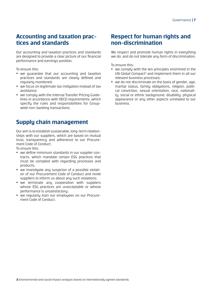# **Accounting and taxation prac- tices and standards**

Our accounting and taxation practices and standards are designed to provide a clear picture of our financial performance and earnings position.

To ensure this:

- we quarantee that our accounting and taxation practices and standards are clearly defined and regularly monitored;
- we focus on legitimate tax mitigation instead of tax avoidance;
- we comply with the internal Transfer Pricing Guidelines in accordance with OECD requirements, which specify the rules and responsibilities for Groupwide non-banking transactions.

#### **Supply chain management**

Our aim is to establish sustainable, long-term relationships with our suppliers, which are based on mutual trust, transparency and adherence to our Procurement Code of Conduct.

To ensure this:

- we define minimum standards in our supplier contracts, which mandate certain ESG practices that must be complied with regarding processes and products;
- we investigate any suspicion of a possible violation of our Procurement Code of Conduct and invite suppliers to inform us about any such violations:
- we terminate any cooperation with suppliers whose ESG practices are unacceptable or whose performance is unsatisfactory;
- we regularly train our employees on our Procurement Code of Conduct.

#### **Respect for human rights and non-discrimination**

We respect and promote human rights in everything we do, and do not tolerate any form of discrimination.

- we complu with the ten principles enshrined in the UN Global Compact<sup>3</sup> and implement them in all our relevant business processes;
- we do not discriminate on the basis of gender, age, marital status, family obligations, religion, political conviction, sexual orientation, race, nationality, social or ethnic background, disability, physical appearance or any other aspects unrelated to our business.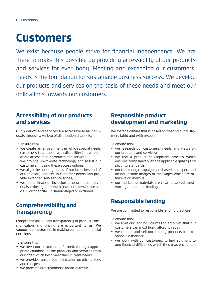## **Customers**

We exist because people strive for financial independence. We are there to make this possible by providing accessibility of our products and services for everybody. Meeting and exceeding our customers' needs is the foundation for sustainable business success. We develop our products and services on the basis of these needs and meet our obligations towards our customers.

#### **Accessibility of our products and services**

Our products and services are accessible to all individuals through a variety of distribution channels.

To ensure this:

- we create an environment in which special needs customers (e.g. those with disabilities) have adequate access to our products and services;
- we provide up-to-date technologu and assist our customers in using these access options;
- we align the opening hours of our branches and of our advisory services to customer needs and provide extended self-service zones;
- we foster financial inclusion among those individuals in the regions in which we operate who are socially or financially disadvantaged or excluded.

#### **Comprehensibility and transparency**

Comprehensibility and transparency in product communication and pricing are important to us. We support our customers in making competent financial decisions.

To ensure this:

- we keep our customers informed, through appropriate channels, of the products and services from our offer which best meet their current needs;
- we provide transparent information on pricing, fees and charges;
- we promote our customers' financial literacy.

#### **Responsible product development and marketing**

We foster a culture that is based on treating our customers fairly and with respect.

To ensure this:

- we research our customers' needs and views on our products and services;
- we use a product development process which ensures compliance with the applicable quality and security standards;
- y our marketing campaigns are based on respect and do not include images or messages which are offensive or libellous;
- our marketing materials are clear, balanced, trustworthy and not misleading.

### **Responsible lending**

We are committed to responsible lending practices.

- we limit our lending volumes to amounts that our customers can most likely afford to repay;
- we market and sell our lending products in a responsible manner;
- we work with our customers to find solutions to any financial difficulties which they may encounter.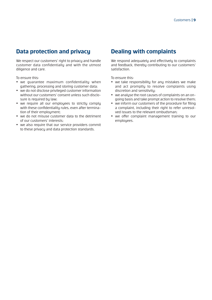#### **Data protection and privacy**

We respect our customers' right to privacy and handle customer data confidentially and with the utmost diligence and care.

To ensure this:

- we guarantee maximum confidentiality when gathering, processing and storing customer data;
- we do not disclose privileged customer information without our customers' consent unless such disclosure is required by law;
- we require all our employees to strictly comply with these confidentiality rules, even after termination of their emploument:
- we do not misuse customer data to the detriment of our customers' interests;
- we also require that our service providers commit to these privacy and data protection standards.

#### **Dealing with complaints**

We respond adequately and effectively to complaints and feedback, thereby contributing to our customers' satisfaction.

- we take responsibility for any mistakes we make and act promptly to resolve complaints using discretion and sensitivity;
- we analyse the root causes of complaints on an ongoing basis and take prompt action to resolve them;
- we inform our customers of the procedure for filing a complaint, including their right to refer unresolved issues to the relevant ombudsman;
- we offer complaint management training to our employees.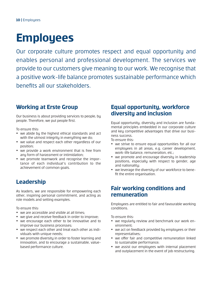# **Employees**

Our corporate culture promotes respect and equal opportunity and enables personal and professional development. The services we provide to our customers give meaning to our work. We recognise that a positive work-life balance promotes sustainable performance which benefits all our stakeholders.

### **Working at Erste Group**

Our business is about providing services to people, by people. Therefore, we put people first.

To ensure this:

- we abide by the highest ethical standards and act with the utmost integrity in everything we do;
- we value and respect each other regardless of our position;
- we provide a work environment that is free from any form of harassment or intimidation;
- we promote teamwork and recognise the importance of each individual's contribution to the achievement of common goals.

#### **Leadership**

As leaders, we are responsible for empowering each other, inspiring personal commitment, and acting as role models and setting examples.

To ensure this:

- we are accessible and visible at all times;
- we give and receive feedback in order to improve;
- we encourage each other to be innovative and to improve our business processes;
- we respect each other and treat each other as individuals with unique needs;
- we promote diversity in order to foster learning and innovation, and to encourage a sustainable, valuebased performance culture.

#### **Equal opportunity, workforce diversity and inclusion**

Equal opportunity, diversity and inclusion are fundamental principles embedded in our corporate culture and key competitive advantages that drive our business success.

To ensure this:

- we strive to ensure equal opportunities for all our employees in all areas, e.g. career development, work-life balance, remuneration, etc.;
- we promote and encourage diversity in leadership positions, especially with respect to gender, age and nationality;
- we leverage the diversity of our workforce to benefit the entire organisation.

#### **Fair working conditions and remuneration**

Employees are entitled to fair and favourable working conditions.

- we regularly review and benchmark our work environment;
- we act on feedback provided by employees or their representatives;
- we offer fair and competitive remuneration linked to sustainable performance;
- we assist our emplouees with internal placement and outplacement in the event of job restructuring.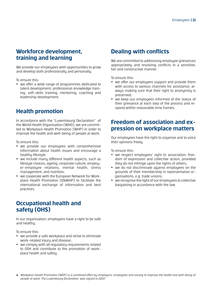#### **Workforce development, training and learning**

We provide our employees with opportunities to grow and develop both professionally and personally.

To ensure this:

• we offer a wide range of programmes dedicated to talent development, professional-knowledge training, soft-skills training, mentoring, coaching and leadership development.

#### **Health promotion**

In accordance with the "Luxembourg Declaration" of the World Health Organisation (WHO), we are committed to Workplace Health Promotion (WHP) in order to improve the health and well-being of people at work.

To ensure this:

- we provide our employees with comprehensive information about health issues and encourage a healthu lifestule:
- we include many different health aspects, such as lifestule choices, ageing, corporate culture, employer-employee relations, mental health, stress management, and nutrition;
- we cooperate with the European Network for Workplace Health Promotion (ENWHP) to facilitate the international exchange of information and best practices.

#### **Occupational health and safety (OHS)**

In our organisation, employees have a right to be safe and healthy.

To ensure this:

- we provide a safe workplace and strive to eliminate work-related injury and disease;
- we complu with all regulatory requirements related to OSH and contribute to the promotion of workplace health and safety.

#### **Dealing with conflicts**

We are committed to addressing employee grievances appropriately and resolving conflicts in a sensitive, fair and constructive manner.

To ensure this:

- we offer our employees support and provide them with access to various channels for assistance, always making sure that their right to anonymity is preserved;
- we keep our employees informed of the status of their grievance at each step of the process and respond within reasonable time frames.

#### **Freedom of association and expression on workplace matters**

Our employees have the right to organise and to voice their opinions freely.

To ensure this:

- we respect emplouees' right to association, freedom of expression and collective action, provided they do not infringe upon the rights of others;
- we do not discriminate against employees on the grounds of their membership in representative organisations, e.g. trade unions;
- we recognise the right of our employees to collective bargaining in accordance with the law.

*4 Workplace Health Promotion (WHP) is a combined effort by employers, employees and society to improve the health and well-being of people at work. The Luxembourg Declaration was signed in 2007.*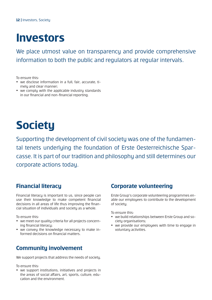### **Investors**

We place utmost value on transparency and provide comprehensive information to both the public and regulators at regular intervals.

To ensure this:

- we disclose information in a full, fair, accurate, timely and clear manner;
- we comply with the applicable industry standards in our financial and non-financial reporting.

# **Society**

Supporting the development of civil society was one of the fundamental tenets underlying the foundation of Erste Oesterreichische Sparcasse. It is part of our tradition and philosophy and still determines our corporate actions today.

### **Financial literacy**

Financial literacy is important to us, since people can use their knowledge to make competent financial decisions in all areas of life thus improving the financial situation of individuals and societu as a whole.

To ensure this:

- we meet our quality criteria for all projects concerning financial literacy;
- we conveu the knowledge necessary to make informed decisions on financial matters.

### **Community involvement**

We support projects that address the needs of society.

To ensure this:

• we support institutions, initiatives and projects in the areas of social affairs, art, sports, culture, education and the environment.

#### **Corporate volunteering**

Erste Group's corporate volunteering programmes enable our employees to contribute to the development of society.

- we build relationships between Erste Group and society organisations:
- we provide our employees with time to engage in voluntaru activities.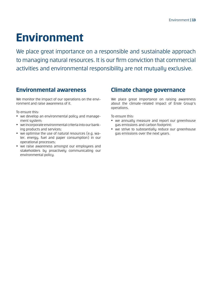# **Environment**

We place great importance on a responsible and sustainable approach to managing natural resources. It is our firm conviction that commercial activities and environmental responsibility are not mutually exclusive.

#### **Environmental awareness**

We monitor the impact of our operations on the environment and raise awareness of it.

To ensure this:

- we develop an environmental policy and management system;
- we incorporate environmental criteria into our banking products and services;
- we optimise the use of natural resources (e.g. water, energy, fuel and paper consumption) in our operational processes;
- we raise awareness amongst our employees and stakeholders bu proactively communicating our environmental policy.

#### **Climate change governance**

We place great importance on raising awareness about the climate-related impact of Erste Group's operations.

- we annually measure and report our greenhouse gas emissions and carbon footprint;
- we strive to substantially reduce our greenhouse gas emissions over the next years.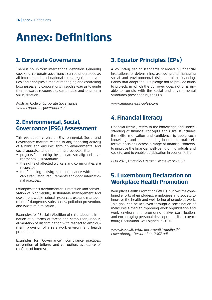# **Annex: Definitions**

#### **1. Corporate Governance**

There is no uniform international definition. Generally speaking, corporate governance can be understood as all international and national rules, regulations, values and principles aimed at managing and controlling businesses and corporations in such a way as to guide them towards responsible, sustainable and long-term value creation.

Austrian Code of Corporate Governance: *www.corporate-governance.at*

#### **2. Environmental, Social, Governance (ESG) Assessment**

This evaluation covers all Environmental, Social and Governance matters related to any financing activity of a bank and ensures, through environmental and social appraisal and monitoring processes, that:

- projects financed bu the bank are socially and environmentally sustainable;
- the rights of affected workers and communities are respected;
- the financing activity is in compliance with applicable regulatory requirements and good international practices.

Examples for "Environmental": Protection and conservation of biodiversity, sustainable management and use of renewable natural resources, use and management of dangerous substances, pollution prevention, and waste minimisation.

Examples for "Social": Abolition of child labour, elimination of all forms of forced and compulsory labour, elimination of discrimination with respect to employment, provision of a safe work environment, health promotion.

Examples for "Governance": Compliance practices, prevention of bribery and corruption, avoidance of conflicts of interest.

### **3. Equator Principles (EPs)**

A voluntary set of standards followed by financial institutions for determining, assessing and managing social and environmental risk in project financing. Banks that adopt the EPs pledge not to provide loans to projects in which the borrower does not or is unable to comply with the social and environmental standards prescribed by the EPs.

*www.equator-principles.com*

#### **4. Financial literacy**

Financial literacy refers to the knowledge and understanding of financial concepts and risks. It includes the skills, motivation and confidence to apply such knowledge and understanding in order to make effective decisions across a range of financial contexts, to improve the financial well-being of individuals and society, and to enable participation in economic life.

*Pisa 2012, Financial Literacy Framework, OECD.*

#### **5. Luxembourg Declaration on Workplace Health Promotion**

Workplace Health Promotion (WHP) involves the combined efforts of employers, employees and society to improve the health and well-being of people at work. This goal can be achieved through a combination of measures aimed at improving work organisation and work environment, promoting active participation, and encouraging personal development. The Luxembourg Declaration was signed in 2007.

*www.ispesl.it/whp/documenti/manifesti/ Luxembourg\_Declaration\_2007.pdf*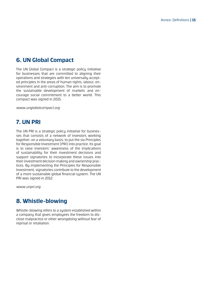#### **6. UN Global Compact**

The UN Global Compact is a strategic policy initiative for businesses that are committed to aligning their operations and strategies with ten universally accepted principles in the areas of human rights, labour, environment and anti-corruption. The aim is to promote the sustainable development of markets and encourage social commitment to a better world. This compact was signed in 2015.

*www.unglobalcompact.org*

#### **7. UN PRI**

The UN PRI is a strategic policy initiative for businesses that consists of a network of investors working together, on a voluntary basis, to put the six Principles for Responsible Investment (PRI) into practice. Its goal is to raise investors' awareness of the implications of sustainability for their investment decisions and support signatories to incorporate these issues into their investment decision making and ownership practices. By implementing the Principles for Responsible Investment, signatories contribute to the development of a more sustainable global financial sustem. The UN PRI was signed in 2012.

*www.unpri.org*

#### **8. Whistle-blowing**

Whistle-blowing refers to a sustem established within a company that gives employees the freedom to disclose malpractice or other wrongdoing without fear of reprisal or retaliation.